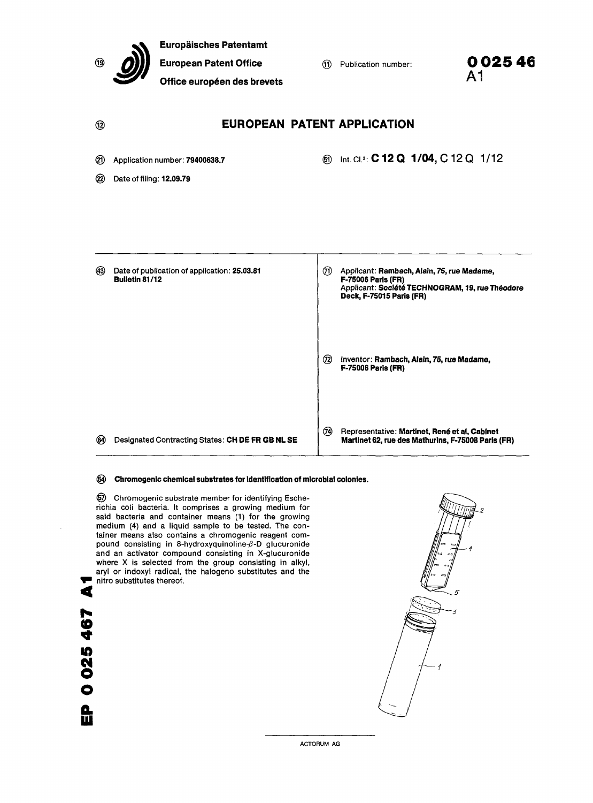|           | <b>Europäisches Patentamt</b><br><b>European Patent Office</b><br>Office européen des brevets |  | (11)      | Publication number:                                                                                                                             | 0 0 2 5 4 6<br>A <sub>1</sub> |  |  |
|-----------|-----------------------------------------------------------------------------------------------|--|-----------|-------------------------------------------------------------------------------------------------------------------------------------------------|-------------------------------|--|--|
| ®         |                                                                                               |  |           | <b>EUROPEAN PATENT APPLICATION</b>                                                                                                              |                               |  |  |
| ⑳<br>(22) | Application number: 79400638.7<br>Date of filing: 12.09.79                                    |  | ෯         | Int. Cl. <sup>3</sup> : C 12 Q 1/04, C 12 Q 1/12                                                                                                |                               |  |  |
| (43)      | Date of publication of application: 25.03.81<br>Bulletin 81/12                                |  | ℗         | Applicant: Rambach, Alain, 75, rue Madame,<br>F-75006 Paris (FR)<br>Applicant: Société TECHNOGRAM, 19, rue Théodore<br>Deck, F-75015 Paris (FR) |                               |  |  |
|           |                                                                                               |  | (72)      | Inventor: Rambach, Alain, 75, rue Madame,<br><b>F-75006 Paris (FR)</b>                                                                          |                               |  |  |
| (84)      | Designated Contracting States: CH DE FR GB NL SE                                              |  | <b>TA</b> | Representative: Martinet, René et al, Cabinet<br>Martinet 62, rue des Mathurins, F-75008 Paris (FR)                                             |                               |  |  |
| (54)      | Chromogenic chemical substrates for identification of microbial colonies.                     |  |           |                                                                                                                                                 |                               |  |  |

Chromogenic substrate member for identifying Escherichia coli bacteria. It comprises a growing medium for said bacteria and container means (1) for the growing medium (4) and a liquid sample to be tested. The container means also contains a chromogenic reagent compound consisting in 8-hydroxyquinoline-β-D glucuronide  $P^{\text{center}}$  consisting in  $\epsilon$  in any approximate  $P^{\text{center}}$  is glucuronide where X is selected from the group consisting in alkyl, aryl or indoxyl radical, the halogeno substitutes and the nitro substitutes thereof.

 $\blacksquare$  $\blacktriangleleft$ 

EP 0025467

ACTORUM AG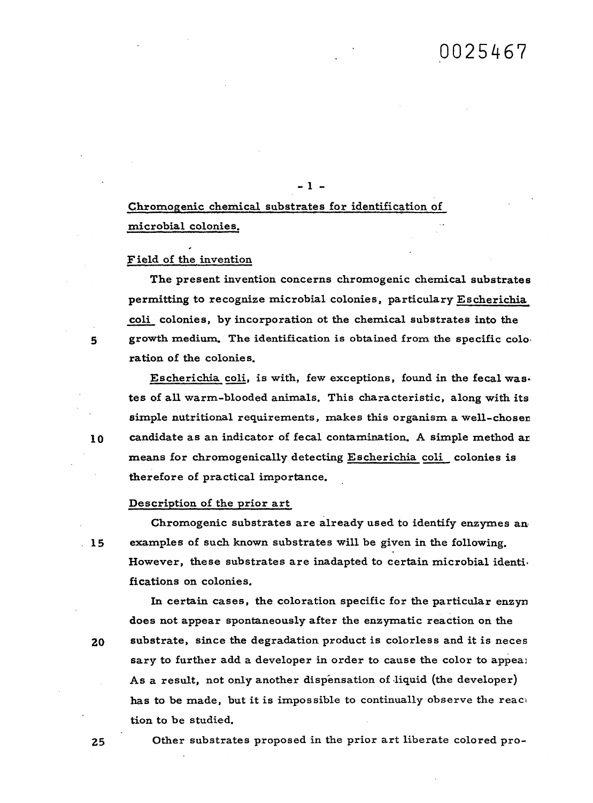Chromogenic chemical substrates for identification of microbial colonies.

 $-1 -$ 

### F ield of the invention

The present invention concerns chromogenic chemical substrates permitting to recognize microbial colonies, particulary Escherichia coli colonies, by incorporation ot the chemical substrates into the growth medium. The identification is obtained from the specific colo ration of the colonies.

Escherichia coli, is with, few exceptions, found in the fecal was. tes of all warm-blooded animals. This characteristic, along with its simple nutritional requirements, makes this organism a well-chosen candidate as an indicator of fecal contamination. A simple method ar means for chromogenically detecting Escherichia coli colonies is therefore of practical importance.

#### Description of the prior art

Chromogenic substrates are already used to identify enzymes an examples of such known substrates will be given in the following. However, these substrates are inadapted to certain microbial identi. fications on colonies.

In certain cases, the coloration specific for the particular enzyn does not appear spontaneously after the enzymatic reaction on the substrate, since the degradation product is colorless and it is neces sary to further add a developer in order to cause the color to appeaj As a result, not only another dispensation of liquid (the developer) has to be made, but it is impossible to continually observe the react tion to be studied.

25

20

Other substrates proposed in the prior art liberate colored pro-

 $\mathbf{5}$ 

10

 $.15$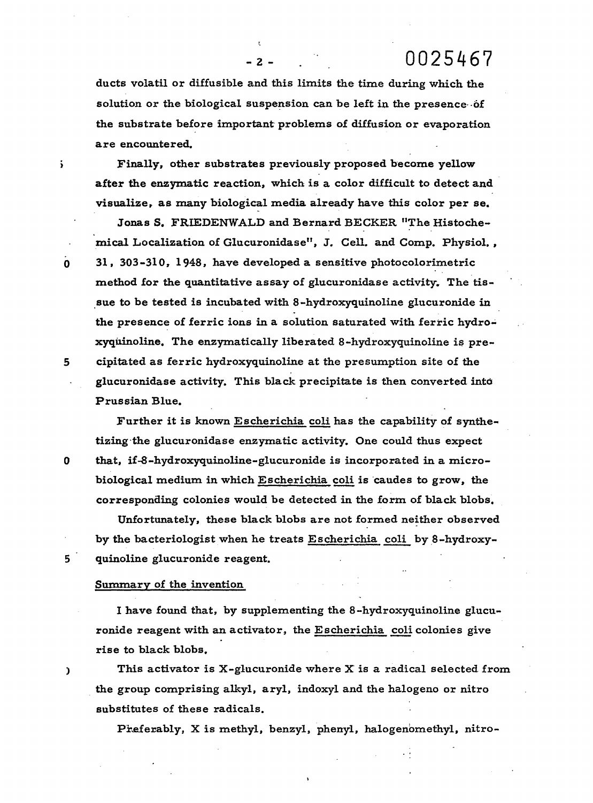0025467

ducts volatil or diffusible and this limits the time during which the solution or the biological suspension can be left in the presence of the substrate before important problems of diffusion or evaporation are encountered.

 $-2-$ 

š.

Finally, other substrates previously proposed become yellow after the enzymatic reaction, which is a color difficult to detect and visualize, as many biological media already have this color per se.

Jonas S. FRIEDENWALD and Bernard BECKER "The Histochemical Localization of Glucuronidase", J. Cell. and Comp. Physiol. , 31, 303-310, 1948, have developed a sensitive photocolorimetric method for the quantitative assay of glucuronidase activity. The tissue to be tested is incubated with 8-hydroxyquinoline glucuronide in the presence of ferric ions in a solution saturated with ferric hydroxyqiiinoline. The enzymatically liberated 8-hydroxyquinoline is precipitated as ferric hydroxyquinoline at the presumption site of the glucuronidase activity. This black precipitate is then converted into Prussian Blue.

Further it is known Escherichia coli has the capability of synthetizing the glucuronidase enzymatic activity. One could thus expect that, if-8-hydroxyquinoline-glucuronide is incorporated in a microbiological medium in which Escherichia coli is caudes to grow, the corresponding colonies would be detected in the form of black blobs.

Unfortunately, these black blobs are not formed neither observed by the bacteriologist when he treats Escherichia coli by 8-hydroxyquinoline glucuronide reagent.

#### Summary of the invention

I have found that, by supplementing the 8-hydroxyquinoline glucuronide reagent with an activator, the Escherichia coli colonies give rise to black blobs.

This activator is  $X$ -glucuronide where  $X$  is a radical selected from the group comprising alkyl, aryl, indoxyl and the halogeno or nitro substitutes of these radicals.

Preferably, X is methyl, benzyl, phenyl, halogenomethyl, nitro-

5

 $\mathbf{o}$ 



 $5<sup>1</sup>$ 

 $\mathbf{C}$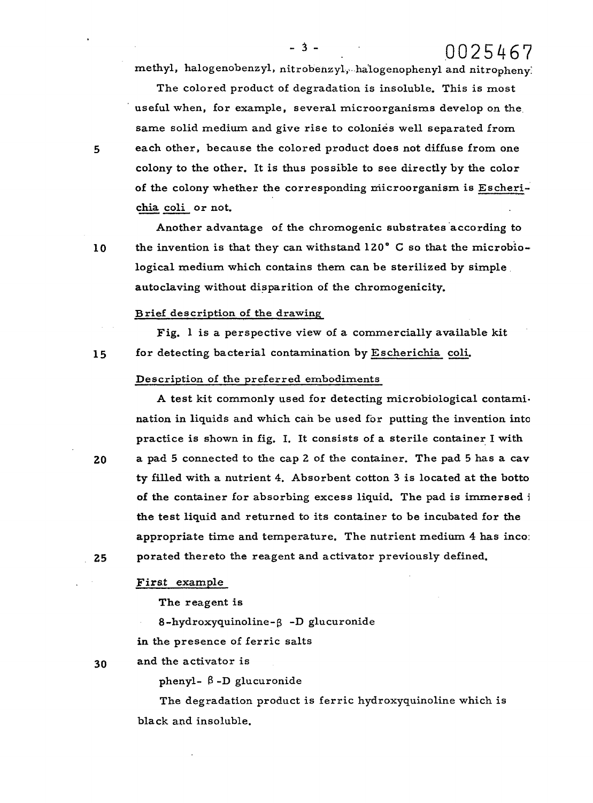methyl, halogenobenzyl, nitrobenzyl, halogenophenyl and nitropheny:

 $-3 -$ 

The colored product of degradation is insoluble. This is most useful when, for example, several microorganisms develop on the same solid medium and give rise to colonies well separated from each other, because the colored product does not diffuse from one colony to the other. It is thus possible to see directly by the color of the colony whether the corresponding microorganism is Escherichia coli or not.

Another advantage of the chromogenic substrates according to the invention is that they can withstand 120° C so that the microbiological medium which contains them can be sterilized by simple autoclaving without disparition of the chromogenicity.

### Brief description of the drawing

Fig. 1 is a perspective view of a commercially available kit for detecting bacterial contamination by Escherichia coli.

### Description of the preferred embodiments

A test kit commonly used for detecting microbiological contami. nation in liquids and which can be used for putting the invention into practice is shown in fig. I. It consists of a sterile container I with a pad 5 connected to the cap 2 of the container. The pad 5 has a cav ty filled with a nutrient 4. Absorbent cotton 3 is located at the botto of the container for absorbing excess liquid. The pad is immersed i the test liquid and returned to its container to be incubated for the appropriate time and temperature. The nutrient medium 4 has inco: porated thereto the reagent and activator previously defined.

# First example

The reagent is

8-hydroxyquinoline-B -D glucuronide

in the presence of ferric salts

and the activator is 30

phenyl-  $\beta$ -D glucuronide

The degradation product is ferric hydroxyquinoline which is black and insoluble.

5

10

15

20

25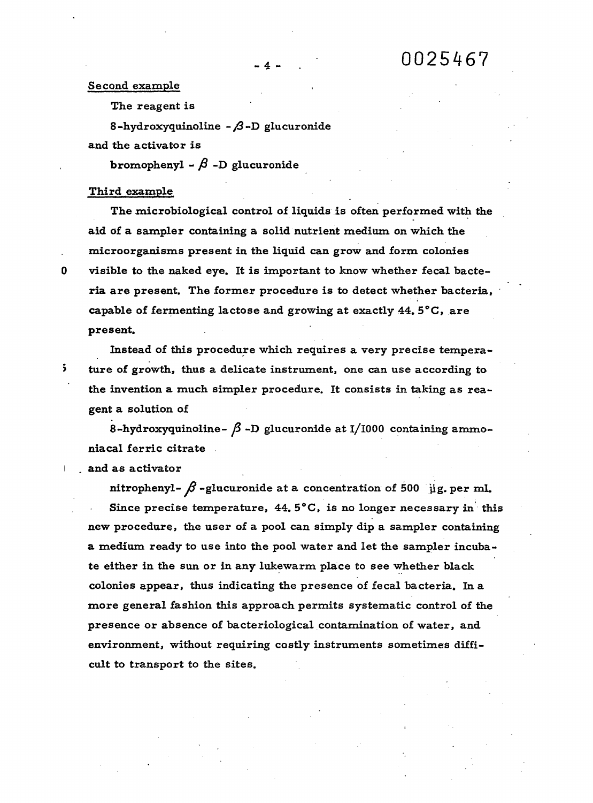### Second example

The reagent is

8-hydroxyquinoline-β-D glucuronide and the activator is

bromophenyl -  $\beta$  -D glucuronide

# Third example

0

 $\ddot{\phantom{0}}$ 

The microbiological control of liquids is often performed with the aid of a sampler containing a solid nutrient medium on which the microorganisms present in the liquid can grow and form colonies visible to the naked eye. It is important to know whether fecal bacteria are present. The former procedure is to detect whether bacteria, capable of fermenting lactose and growing at exactly 44. 5°C, are present.

Instead of this procedure which requires a very precise temperature of growth, thus a delicate instrument, one can use according to the invention a much simpler procedure. It consists in taking as reagent a solution of

8-hydroxyquinoline- $\beta$ -D glucuronide at I/1000 containing ammoniacal ferric citrate

and as activator

nitrophenyl- $\beta$ -glucuronide at a concentration of 500 µg. per ml. Since precise temperature,  $44.5^{\circ}$ C, is no longer necessary in this new procedure, the user of a pool can simply dip a sampler containing a medium ready to use into the pool water and let the sampler incubate either in the sun or in any lukewarm place to see whether black colonies appear, thus indicating the presence of fecal bacteria. In a more general fashion this approach permits systematic control of the presence or absence of bacteriological contamination of water, and environment, without requiring costly instruments sometimes difficult to transport to the sites.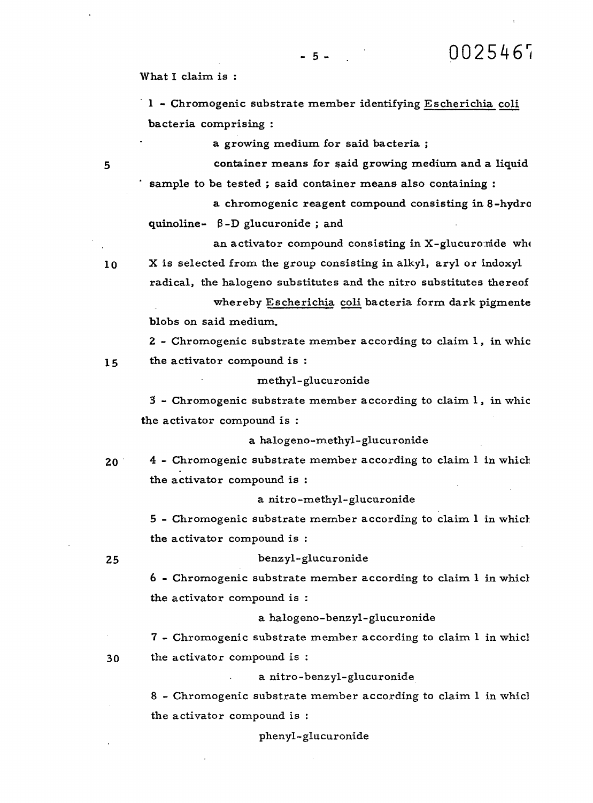What I claim is:

1 - Chromogenic substrate member identifying Escherichia coli bacteria comprising :

 $-5 - 1$ 

a growing medium for said bacteria ;

container means for said growing medium and a liquid sample to be tested ; said container means also containing :

a chromogenic reagent compound consisting in 8-hydro quinoline- β-D glucuronide ; and

an activator compound consisting in X-glucuromide whe

X is selected from the group consisting in alkyl, aryl or indoxyl radical, the halogeno substitutes and the nitro substitutes thereof

whereby Escherichia coli bacteria form dark pigmente blobs on said medium.

2 - Chromogenic substrate member according to claim 1, in whic the activator compound is : 15

methyl-glucuronide

3 - Chromogenic substrate member according to claim 1, in whic the activator compound is :

a halogeno-methyl-glucuronide

4 - Chromogenic substrate member according to claim 1 in which  $20<sup>2</sup>$ the activator compound is :

a nitro-methyl-glucuronide

5 - Chromogenic substrate member according to claim 1 in which the activator compound is :

# benzyl-glucuronide

6 - Chromogenic substrate member according to claim 1 in which the activator compound is :

a halogeno-benzyl-glucuronide

7 - Chromogenic substrate member according to claim 1 in which the activator compound is :

a nitro-benzyl-glucuronide

8 - Chromogenic substrate member according to claim 1 in whicl the activator compound is :

phenyl-glucuronide

5

 $10$ 

25

 $30<sup>°</sup>$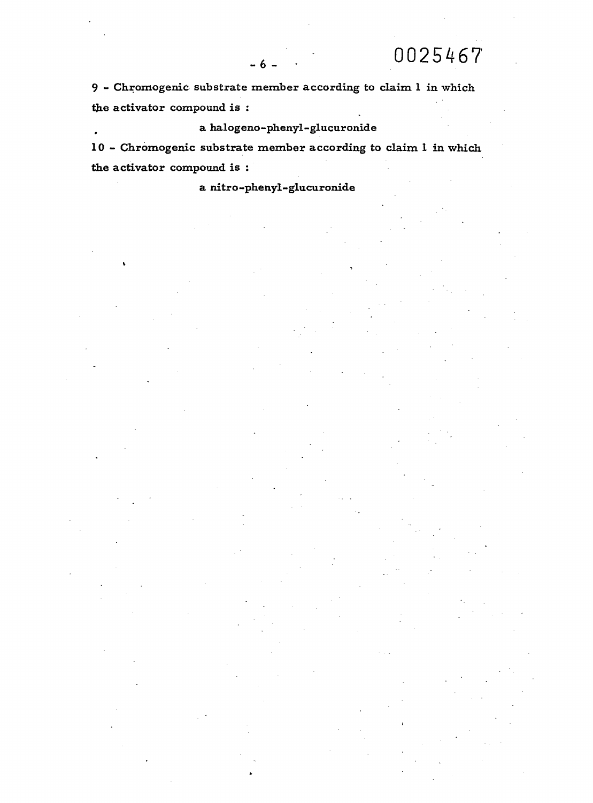9 - Chromogenic substrate member according to claim 1 in which the activator compound is :

 $-6.$ 

a halogeno-phenyl-glucuronide

10 - Chromogenic substrate member according to claim 1 in which the activator compound is :

a nitro-phenyl-glucuronide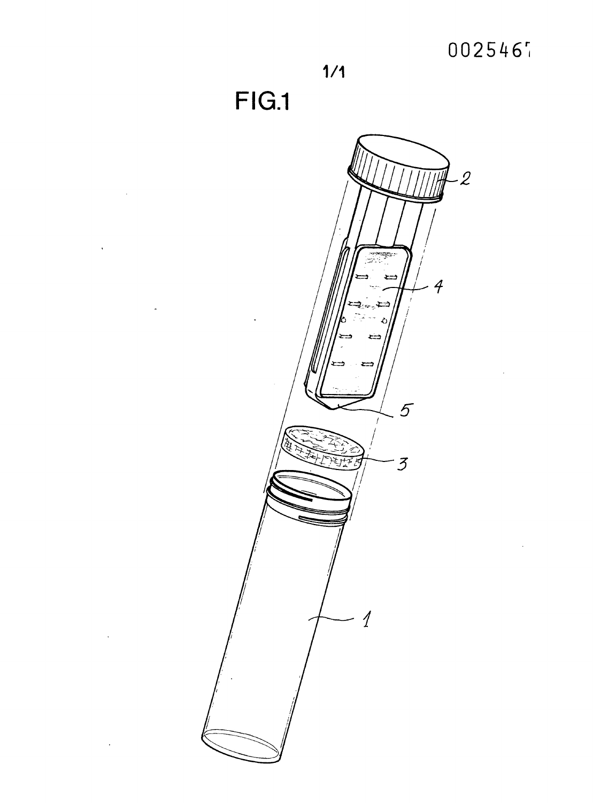

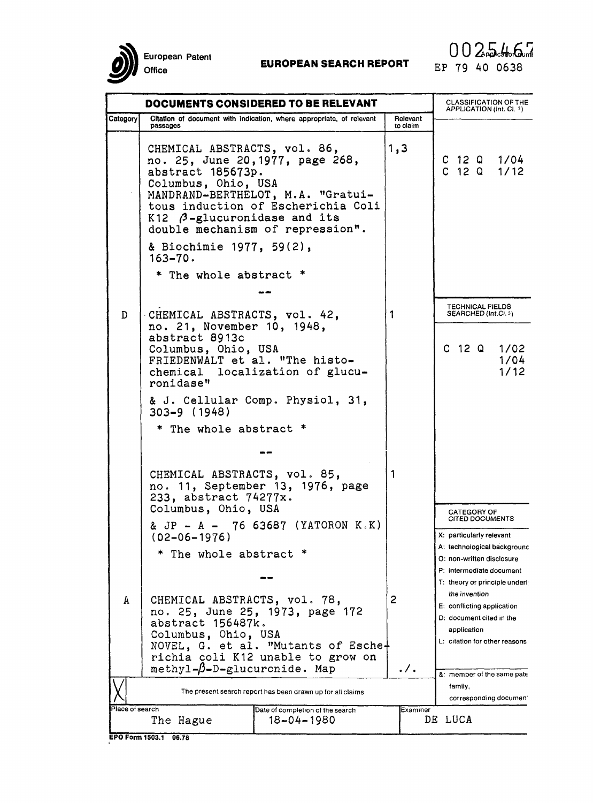European Patent Office

# **EUROPEAN SEARCH REPORT**

|                 | DOCUMENTS CONSIDERED TO BE RELEVANT                                                                              | <b>CLASSIFICATION OF THE</b><br>APPLICATION (Int. Cl. 3)                                                                                        |                   |                                                                                                                         |
|-----------------|------------------------------------------------------------------------------------------------------------------|-------------------------------------------------------------------------------------------------------------------------------------------------|-------------------|-------------------------------------------------------------------------------------------------------------------------|
| Category        | Citation of document with indication, where appropriate, of relevant<br>passages                                 |                                                                                                                                                 |                   |                                                                                                                         |
|                 | CHEMICAL ABSTRACTS, vol. 86,<br>abstract 185673p.<br>Columbus, Ohio, USA<br>$K12$ $\beta$ -glucuronidase and its | no. 25, June 20, 1977, page 268,<br>MANDRAND-BERTHELOT, M.A. "Gratui-<br>tous induction of Escherichia Coli<br>double mechanism of repression". | 1, 3              | $C$ 12 Q 1/04<br>C 12 Q 1/12                                                                                            |
|                 | & Biochimie 1977, 59(2),<br>$163 - 70.$                                                                          |                                                                                                                                                 |                   |                                                                                                                         |
|                 | * The whole abstract *                                                                                           |                                                                                                                                                 |                   |                                                                                                                         |
|                 |                                                                                                                  |                                                                                                                                                 |                   |                                                                                                                         |
| D               | CHEMICAL ABSTRACTS, vol. 42,<br>no. 21, November 10, 1948,<br>abstract 8913c                                     |                                                                                                                                                 | 1                 | <b>TECHNICAL FIELDS</b><br>SEARCHED (Int.Cl. 3)                                                                         |
|                 | Columbus, Ohio, USA<br>FRIEDENWALT et al. "The histo-<br>ronidase"                                               | chemical localization of glucu-                                                                                                                 |                   | $C$ 12 Q 1/02<br>1/04<br>1/12                                                                                           |
|                 | 303-9 (1948)                                                                                                     | & J. Cellular Comp. Physiol, 31,                                                                                                                |                   |                                                                                                                         |
|                 | * The whole abstract *                                                                                           |                                                                                                                                                 |                   |                                                                                                                         |
|                 |                                                                                                                  |                                                                                                                                                 |                   |                                                                                                                         |
|                 | CHEMICAL ABSTRACTS, vol. 85,<br>233, abstract 74277x.<br>Columbus, Ohio, USA                                     | no. 11, September 13, 1976, page                                                                                                                | 1                 | <b>CATEGORY OF</b>                                                                                                      |
|                 | $(02 - 06 - 1976)$                                                                                               | & JP - A - 76 63687 (YATORON K.K)                                                                                                               |                   | <b>CITED DOCUMENTS</b><br>X: particularly relevant                                                                      |
|                 | * The whole abstract *                                                                                           |                                                                                                                                                 |                   | A: technological backgrounc<br>O: non-written disclosure                                                                |
|                 |                                                                                                                  |                                                                                                                                                 |                   | P: intermediate document<br>T: theory or principle underly                                                              |
| A               | CHEMICAL ABSTRACTS, vol. 78,<br>abstract 156487k.<br>Columbus, Ohio, USA                                         | no. 25, June 25, 1973, page 172<br>NOVEL, G. et al. "Mutants of Esche+<br>richia coli K12 unable to grow on                                     | 2                 | the invention<br>E: conflicting application<br>D: document cited in the<br>application<br>L: citation for other reasons |
|                 | $methyl-\beta-D-glucuronide. Map$                                                                                |                                                                                                                                                 | $\cdot$ / $\cdot$ | &: member of the same pate                                                                                              |
|                 | The present search report has been drawn up for all claims                                                       | family,<br>corresponding documen!                                                                                                               |                   |                                                                                                                         |
| Place of search | The Hague                                                                                                        | Date of completion of the search<br>$18 - 04 - 1980$                                                                                            | Examıner          | DE LUCA                                                                                                                 |

EPO Form 1503.1 06.78